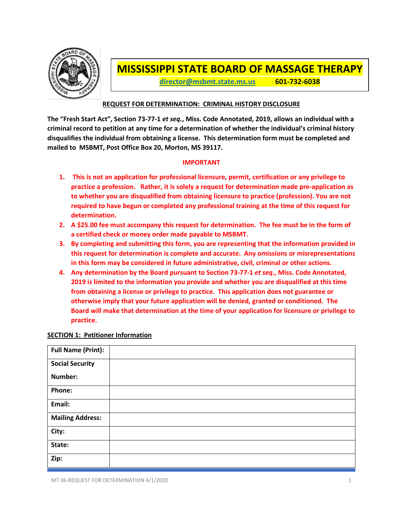

# **MISSISSIPPI STATE BOARD OF MASSAGE THERAPY**

**[director@msbmt.state.ms.us](mailto:director@msbmt.state.ms.us) 601-732-6038**

## **REQUEST FOR DETERMINATION: CRIMINAL HISTORY DISCLOSURE**

**The "Fresh Start Act", Section 73-77-1** *et seq.***, Miss. Code Annotated, 2019, allows an individual with a criminal record to petition at any time for a determination of whether the individual's criminal history disqualifies the individual from obtaining a license. This determination form must be completed and mailed to MSBMT, Post Office Box 20, Morton, MS 39117.**

### **IMPORTANT**

- **1. This is not an application for professional licensure, permit, certification or any privilege to practice a profession. Rather, it is solely a request for determination made pre-application as to whether you are disqualified from obtaining licensure to practice (profession). You are not required to have begun or completed any professional training at the time of this request for determination.**
- **2. A \$25.00 fee must accompany this request for determination. The fee must be in the form of a certified check or money order made payable to MSBMT.**
- **3. By completing and submitting this form, you are representing that the information provided in this request for determination is complete and accurate. Any omissions or misrepresentations in this form may be considered in future administrative, civil, criminal or other actions.**
- **4. Any determination by the Board pursuant to Section 73-77-1** *et seq***., Miss. Code Annotated, 2019 is limited to the information you provide and whether you are disqualified at this time from obtaining a license or privilege to practice. This application does not guarantee or otherwise imply that your future application will be denied, granted or conditioned. The Board will make that determination at the time of your application for licensure or privilege to practice.**

| <b>Full Name (Print):</b> |  |
|---------------------------|--|
| <b>Social Security</b>    |  |
| Number:                   |  |
| Phone:                    |  |
| Email:                    |  |
| <b>Mailing Address:</b>   |  |
| City:                     |  |
| State:                    |  |
| Zip:                      |  |

### **SECTION 1: Petitioner Information**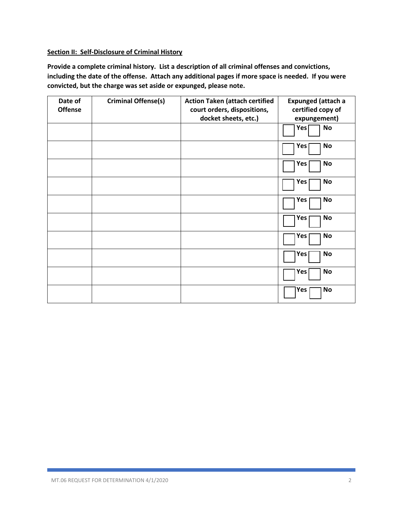### **Section II: Self-Disclosure of Criminal History**

**Provide a complete criminal history. List a description of all criminal offenses and convictions, including the date of the offense. Attach any additional pages if more space is needed. If you were convicted, but the charge was set aside or expunged, please note.**

| Date of        | <b>Criminal Offense(s)</b> | <b>Action Taken (attach certified</b> | <b>Expunged (attach a</b>     |
|----------------|----------------------------|---------------------------------------|-------------------------------|
| <b>Offense</b> |                            | court orders, dispositions,           | certified copy of             |
|                |                            | docket sheets, etc.)                  | expungement)                  |
|                |                            |                                       | <b>No</b><br>Yes <sup>[</sup> |
|                |                            |                                       | No<br>Yes                     |
|                |                            |                                       | No<br>Yes                     |
|                |                            |                                       | No<br>Yes                     |
|                |                            |                                       | Yes<br><b>No</b>              |
|                |                            |                                       | No<br>Yes                     |
|                |                            |                                       | Yes<br>No                     |
|                |                            |                                       | <b>No</b><br>Yes              |
|                |                            |                                       | <b>No</b><br>Yes              |
|                |                            |                                       | <b>No</b><br>Yes              |